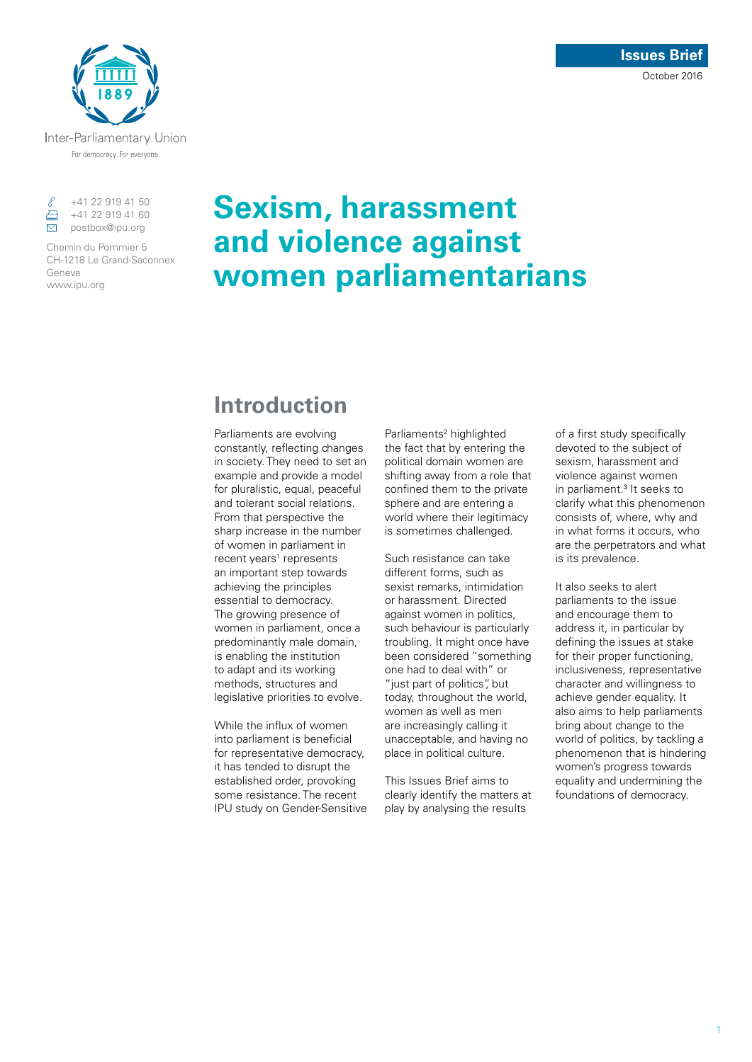





Chemin du Pommier 5 CH-1218 Le Grand-Saconnex Geneva www.ipu.org

# **Sexism, harassment and violence against women parliamentarians**

# **Introduction**

Parliaments are evolving constantly, reflecting changes in society. They need to set an example and provide a model for pluralistic, equal, peaceful and tolerant social relations. From that perspective the sharp increase in the number of women in parliament in recent years<sup>1</sup> represents an important step towards achieving the principles essential to democracy. The growing presence of women in parliament, once a predominantly male domain, is enabling the institution to adapt and its working methods, structures and legislative priorities to evolve.

While the influx of women into parliament is beneficial for representative democracy, it has tended to disrupt the established order, provoking some resistance. The recent IPU study on Gender-Sensitive

Parliaments<sup>2</sup> highlighted the fact that by entering the political domain women are shifting away from a role that confined them to the private sphere and are entering a world where their legitimacy is sometimes challenged.

Such resistance can take different forms, such as sexist remarks, intimidation or harassment. Directed against women in politics, such behaviour is particularly troubling. It might once have been considered "something one had to deal with" or "just part of politics", but today, throughout the world, women as well as men are increasingly calling it unacceptable, and having no place in political culture.

This Issues Brief aims to clearly identify the matters at play by analysing the results

of a first study specifically devoted to the subject of sexism, harassment and violence against women in parliament.<sup>3</sup> It seeks to clarify what this phenomenon consists of, where, why and in what forms it occurs, who are the perpetrators and what is its prevalence.

It also seeks to alert parliaments to the issue and encourage them to address it, in particular by defining the issues at stake for their proper functioning, inclusiveness, representative character and willingness to achieve gender equality. It also aims to help parliaments bring about change to the world of politics, by tackling a phenomenon that is hindering women's progress towards equality and undermining the foundations of democracy.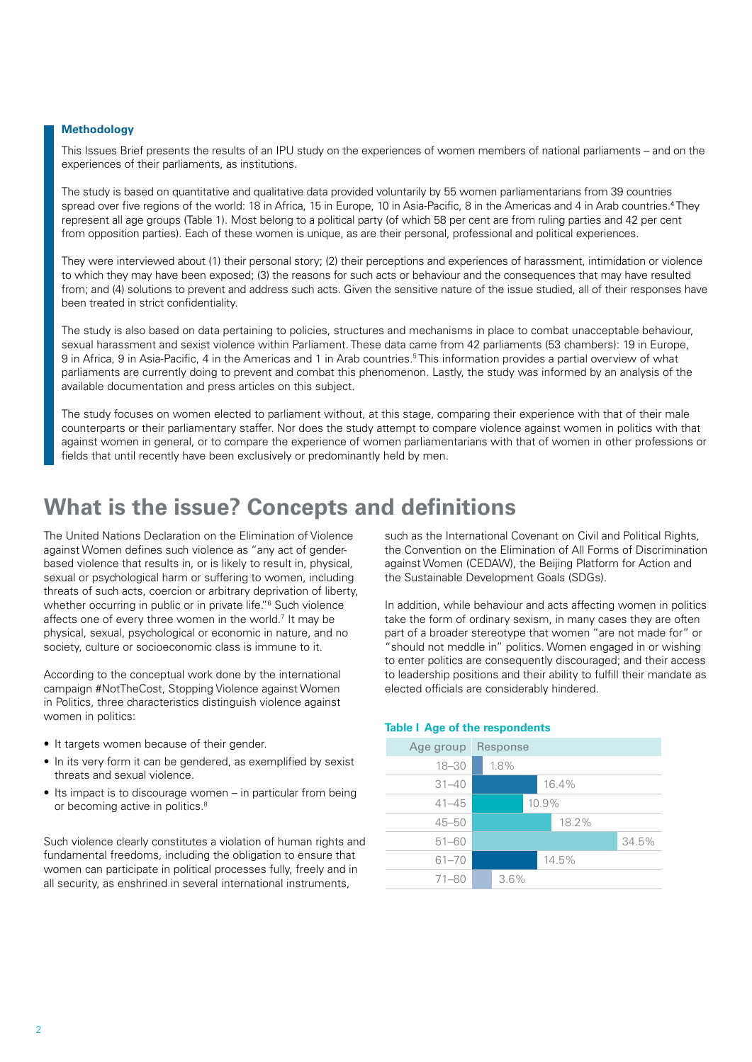#### **Methodology**

This Issues Brief presents the results of an IPU study on the experiences of women members of national parliaments – and on the experiences of their parliaments, as institutions.

The study is based on quantitative and qualitative data provided voluntarily by 55 women parliamentarians from 39 countries spread over five regions of the world: 18 in Africa, 15 in Europe, 10 in Asia-Pacific, 8 in the Americas and 4 in Arab countries.<sup>4</sup> They represent all age groups (Table 1). Most belong to a political party (of which 58 per cent are from ruling parties and 42 per cent from opposition parties). Each of these women is unique, as are their personal, professional and political experiences.

They were interviewed about (1) their personal story; (2) their perceptions and experiences of harassment, intimidation or violence to which they may have been exposed; (3) the reasons for such acts or behaviour and the consequences that may have resulted from; and (4) solutions to prevent and address such acts. Given the sensitive nature of the issue studied, all of their responses have been treated in strict confidentiality.

The study is also based on data pertaining to policies, structures and mechanisms in place to combat unacceptable behaviour, sexual harassment and sexist violence within Parliament. These data came from 42 parliaments (53 chambers): 19 in Europe, 9 in Africa, 9 in Asia-Pacific, 4 in the Americas and 1 in Arab countries.<sup>5</sup> This information provides a partial overview of what parliaments are currently doing to prevent and combat this phenomenon. Lastly, the study was informed by an analysis of the available documentation and press articles on this subject.

The study focuses on women elected to parliament without, at this stage, comparing their experience with that of their male counterparts or their parliamentary staffer. Nor does the study attempt to compare violence against women in politics with that against women in general, or to compare the experience of women parliamentarians with that of women in other professions or fields that until recently have been exclusively or predominantly held by men.

### **What is the issue? Concepts and definitions**

The United Nations Declaration on the Elimination of Violence against Women defines such violence as "any act of genderbased violence that results in, or is likely to result in, physical, sexual or psychological harm or suffering to women, including threats of such acts, coercion or arbitrary deprivation of liberty, whether occurring in public or in private life."<sup>6</sup> Such violence affects one of every three women in the world.<sup>7</sup> It may be physical, sexual, psychological or economic in nature, and no society, culture or socioeconomic class is immune to it.

According to the conceptual work done by the international campaign #NotTheCost, Stopping Violence against Women in Politics, three characteristics distinguish violence against women in politics:

- It targets women because of their gender.
- In its very form it can be gendered, as exemplified by sexist threats and sexual violence.
- $\bullet$  Its impact is to discourage women in particular from being or becoming active in politics.<sup>8</sup>

Such violence clearly constitutes a violation of human rights and fundamental freedoms, including the obligation to ensure that women can participate in political processes fully, freely and in all security, as enshrined in several international instruments,

such as the International Covenant on Civil and Political Rights, the Convention on the Elimination of All Forms of Discrimination against Women (CEDAW), the Beijing Platform for Action and the Sustainable Development Goals (SDGs).

In addition, while behaviour and acts affecting women in politics take the form of ordinary sexism, in many cases they are often part of a broader stereotype that women "are not made for" or "should not meddle in" politics. Women engaged in or wishing to enter politics are consequently discouraged; and their access to leadership positions and their ability to fulfill their mandate as elected officials are considerably hindered.

#### **Table I Age of the respondents**

| Age group | Response |       |  |       |  |       |
|-----------|----------|-------|--|-------|--|-------|
| $18 - 30$ | 1.8%     |       |  |       |  |       |
| $31 - 40$ |          |       |  | 16.4% |  |       |
| $41 - 45$ |          | 10.9% |  |       |  |       |
| $45 - 50$ |          |       |  | 18.2% |  |       |
| $51 - 60$ |          |       |  |       |  | 34.5% |
| $61 - 70$ |          |       |  | 14.5% |  |       |
| $71 - 80$ | 3.6%     |       |  |       |  |       |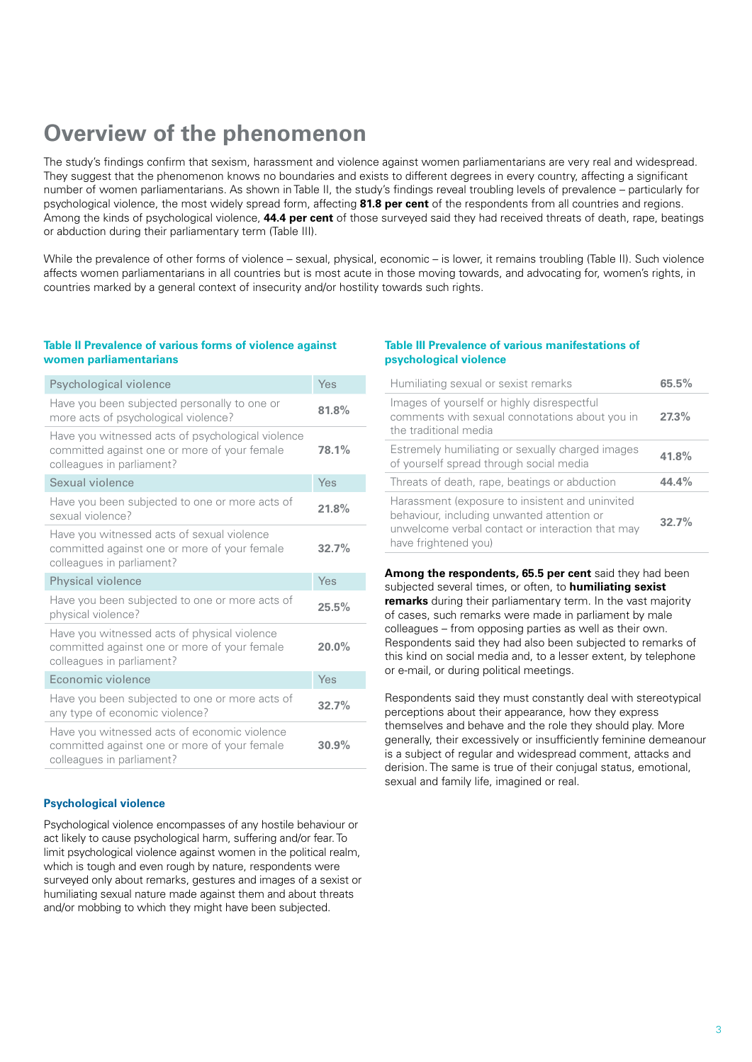# **Overview of the phenomenon**

The study's findings confirm that sexism, harassment and violence against women parliamentarians are very real and widespread. They suggest that the phenomenon knows no boundaries and exists to different degrees in every country, affecting a significant number of women parliamentarians. As shown in Table II, the study's findings reveal troubling levels of prevalence – particularly for psychological violence, the most widely spread form, affecting **81.8 per cent** of the respondents from all countries and regions. Among the kinds of psychological violence, **44.4 per cent** of those surveyed said they had received threats of death, rape, beatings or abduction during their parliamentary term (Table III).

While the prevalence of other forms of violence – sexual, physical, economic – is lower, it remains troubling (Table II). Such violence affects women parliamentarians in all countries but is most acute in those moving towards, and advocating for, women's rights, in countries marked by a general context of insecurity and/or hostility towards such rights.

#### **Table II Prevalence of various forms of violence against women parliamentarians**

| Psychological violence                                                                                                         | Yes   |
|--------------------------------------------------------------------------------------------------------------------------------|-------|
| Have you been subjected personally to one or<br>more acts of psychological violence?                                           | 81.8% |
| Have you witnessed acts of psychological violence<br>committed against one or more of your female<br>colleagues in parliament? | 78.1% |
| Sexual violence                                                                                                                | Yes   |
| Have you been subjected to one or more acts of<br>sexual violence?                                                             | 21.8% |
| Have you witnessed acts of sexual violence<br>committed against one or more of your female<br>colleagues in parliament?        | 32.7% |
| Physical violence                                                                                                              | Yes   |
| Have you been subjected to one or more acts of<br>physical violence?                                                           | 25.5% |
| Have you witnessed acts of physical violence<br>committed against one or more of your female<br>colleagues in parliament?      | 20.0% |
| Economic violence                                                                                                              | Yes   |
| Have you been subjected to one or more acts of<br>any type of economic violence?                                               | 32.7% |
| Have you witnessed acts of economic violence<br>committed against one or more of your female<br>colleagues in parliament?      | 30.9% |
|                                                                                                                                |       |

#### **Psychological violence**

Psychological violence encompasses of any hostile behaviour or act likely to cause psychological harm, suffering and/or fear. To limit psychological violence against women in the political realm, which is tough and even rough by nature, respondents were surveyed only about remarks, gestures and images of a sexist or humiliating sexual nature made against them and about threats and/or mobbing to which they might have been subjected.

#### **Table III Prevalence of various manifestations of psychological violence**

| Humiliating sexual or sexist remarks                                                                                                                                      | 65.5% |
|---------------------------------------------------------------------------------------------------------------------------------------------------------------------------|-------|
| Images of yourself or highly disrespectful<br>comments with sexual connotations about you in<br>the traditional media                                                     | 27.3% |
| Estremely humiliating or sexually charged images<br>of yourself spread through social media                                                                               | 41.8% |
| Threats of death, rape, beatings or abduction                                                                                                                             | 44.4% |
| Harassment (exposure to insistent and uninvited<br>behaviour, including unwanted attention or<br>unwelcome verbal contact or interaction that may<br>have frightened you) | 32.7% |

**Among the respondents, 65.5 per cent** said they had been subjected several times, or often, to **humiliating sexist remarks** during their parliamentary term. In the vast majority of cases, such remarks were made in parliament by male colleagues – from opposing parties as well as their own. Respondents said they had also been subjected to remarks of this kind on social media and, to a lesser extent, by telephone or e-mail, or during political meetings.

Respondents said they must constantly deal with stereotypical perceptions about their appearance, how they express themselves and behave and the role they should play. More generally, their excessively or insufficiently feminine demeanour is a subject of regular and widespread comment, attacks and derision. The same is true of their conjugal status, emotional, sexual and family life, imagined or real.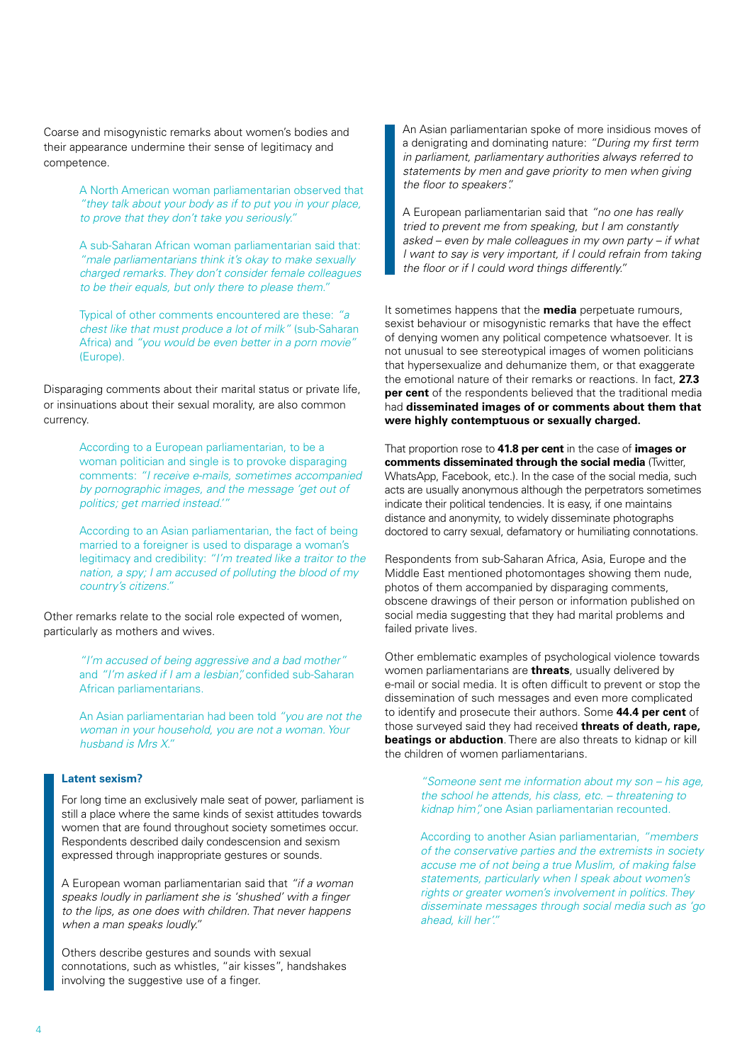Coarse and misogynistic remarks about women's bodies and their appearance undermine their sense of legitimacy and competence.

> A North American woman parliamentarian observed that "they talk about your body as if to put you in your place, to prove that they don't take you seriously."

> A sub-Saharan African woman parliamentarian said that: "male parliamentarians think it's okay to make sexually charged remarks. They don't consider female colleagues to be their equals, but only there to please them."

Typical of other comments encountered are these: "a chest like that must produce a lot of milk" (sub-Saharan Africa) and "you would be even better in a porn movie" (Europe).

Disparaging comments about their marital status or private life, or insinuations about their sexual morality, are also common currency.

> According to a European parliamentarian, to be a woman politician and single is to provoke disparaging comments: "I receive e-mails, sometimes accompanied by pornographic images, and the message 'get out of politics; get married instead.'

According to an Asian parliamentarian, the fact of being married to a foreigner is used to disparage a woman's legitimacy and credibility: "I'm treated like a traitor to the nation, a spy; I am accused of polluting the blood of my country's citizens."

Other remarks relate to the social role expected of women, particularly as mothers and wives.

> "I'm accused of being aggressive and a bad mother" and "I'm asked if I am a lesbian", confided sub-Saharan African parliamentarians.

An Asian parliamentarian had been told "you are not the woman in your household, you are not a woman. Your husband is Mrs X."

#### **Latent sexism?**

For long time an exclusively male seat of power, parliament is still a place where the same kinds of sexist attitudes towards women that are found throughout society sometimes occur. Respondents described daily condescension and sexism expressed through inappropriate gestures or sounds.

A European woman parliamentarian said that "if a woman speaks loudly in parliament she is 'shushed' with a finger to the lips, as one does with children. That never happens when a man speaks loudly."

Others describe gestures and sounds with sexual connotations, such as whistles, "air kisses", handshakes involving the suggestive use of a finger.

An Asian parliamentarian spoke of more insidious moves of a denigrating and dominating nature: "During my first term in parliament, parliamentary authorities always referred to statements by men and gave priority to men when giving the floor to speakers".

A European parliamentarian said that "no one has really tried to prevent me from speaking, but I am constantly asked – even by male colleagues in my own party – if what I want to say is very important, if I could refrain from taking the floor or if I could word things differently."

It sometimes happens that the **media** perpetuate rumours, sexist behaviour or misogynistic remarks that have the effect of denying women any political competence whatsoever. It is not unusual to see stereotypical images of women politicians that hypersexualize and dehumanize them, or that exaggerate the emotional nature of their remarks or reactions. In fact, **27.3 per cent** of the respondents believed that the traditional media had **disseminated images of or comments about them that were highly contemptuous or sexually charged.** 

That proportion rose to **41.8 per cent** in the case of **images or comments disseminated through the social media** (Twitter, WhatsApp, Facebook, etc.). In the case of the social media, such acts are usually anonymous although the perpetrators sometimes indicate their political tendencies. It is easy, if one maintains distance and anonymity, to widely disseminate photographs doctored to carry sexual, defamatory or humiliating connotations.

Respondents from sub-Saharan Africa, Asia, Europe and the Middle East mentioned photomontages showing them nude, photos of them accompanied by disparaging comments, obscene drawings of their person or information published on social media suggesting that they had marital problems and failed private lives.

Other emblematic examples of psychological violence towards women parliamentarians are **threats**, usually delivered by e-mail or social media. It is often difficult to prevent or stop the dissemination of such messages and even more complicated to identify and prosecute their authors. Some **44.4 per cent** of those surveyed said they had received **threats of death, rape, beatings or abduction**. There are also threats to kidnap or kill the children of women parliamentarians.

> "Someone sent me information about my son – his age, the school he attends, his class, etc. – threatening to kidnap him", one Asian parliamentarian recounted.

> According to another Asian parliamentarian, "members of the conservative parties and the extremists in society accuse me of not being a true Muslim, of making false statements, particularly when I speak about women's rights or greater women's involvement in politics. They disseminate messages through social media such as 'go ahead, kill her'"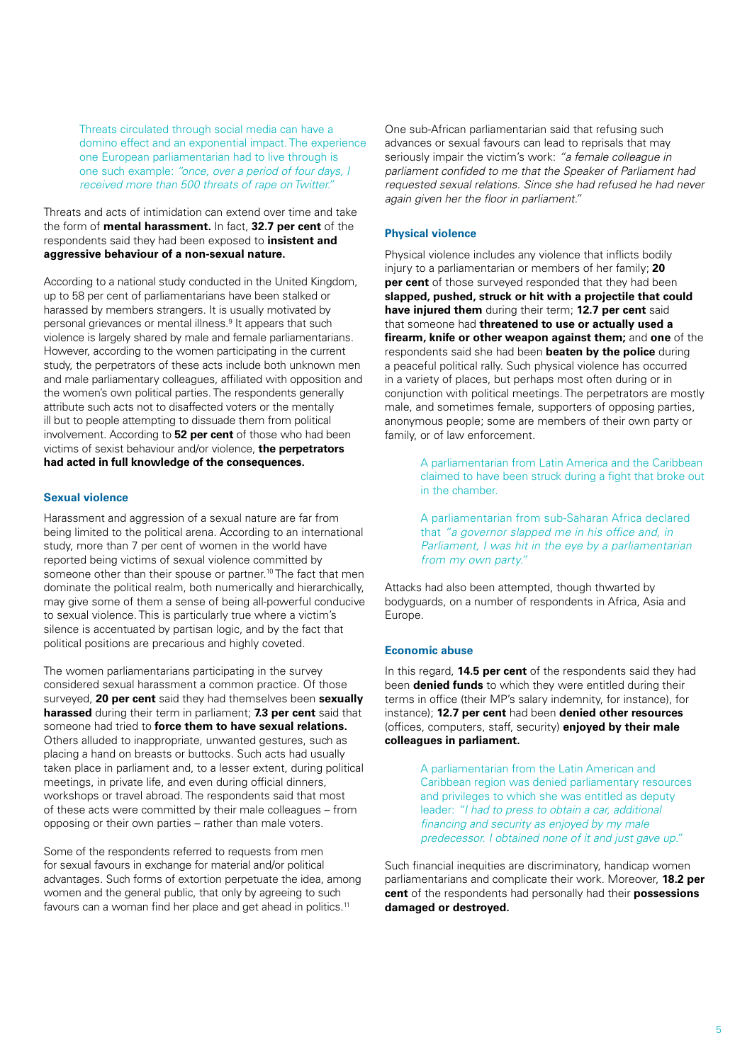Threats circulated through social media can have a domino effect and an exponential impact. The experience one European parliamentarian had to live through is one such example: "once, over a period of four days, I received more than 500 threats of rape on Twitter."

Threats and acts of intimidation can extend over time and take the form of **mental harassment.** In fact, **32.7 per cent** of the respondents said they had been exposed to **insistent and aggressive behaviour of a non-sexual nature.** 

According to a national study conducted in the United Kingdom, up to 58 per cent of parliamentarians have been stalked or harassed by members strangers. It is usually motivated by personal grievances or mental illness.<sup>9</sup> It appears that such violence is largely shared by male and female parliamentarians. However, according to the women participating in the current study, the perpetrators of these acts include both unknown men and male parliamentary colleagues, affiliated with opposition and the women's own political parties. The respondents generally attribute such acts not to disaffected voters or the mentally ill but to people attempting to dissuade them from political involvement. According to **52 per cent** of those who had been victims of sexist behaviour and/or violence, **the perpetrators had acted in full knowledge of the consequences.**

#### **Sexual violence**

Harassment and aggression of a sexual nature are far from being limited to the political arena. According to an international study, more than 7 per cent of women in the world have reported being victims of sexual violence committed by someone other than their spouse or partner.<sup>10</sup> The fact that men dominate the political realm, both numerically and hierarchically, may give some of them a sense of being all-powerful conducive to sexual violence. This is particularly true where a victim's silence is accentuated by partisan logic, and by the fact that political positions are precarious and highly coveted.

The women parliamentarians participating in the survey considered sexual harassment a common practice. Of those surveyed, **20 per cent** said they had themselves been **sexually harassed** during their term in parliament; **7.3 per cent** said that someone had tried to **force them to have sexual relations.**  Others alluded to inappropriate, unwanted gestures, such as placing a hand on breasts or buttocks. Such acts had usually taken place in parliament and, to a lesser extent, during political meetings, in private life, and even during official dinners, workshops or travel abroad. The respondents said that most of these acts were committed by their male colleagues – from opposing or their own parties – rather than male voters.

Some of the respondents referred to requests from men for sexual favours in exchange for material and/or political advantages. Such forms of extortion perpetuate the idea, among women and the general public, that only by agreeing to such favours can a woman find her place and get ahead in politics.<sup>11</sup>

One sub-African parliamentarian said that refusing such advances or sexual favours can lead to reprisals that may seriously impair the victim's work: "a female colleague in parliament confided to me that the Speaker of Parliament had requested sexual relations. Since she had refused he had never again given her the floor in parliament."

#### **Physical violence**

Physical violence includes any violence that inflicts bodily injury to a parliamentarian or members of her family; **20 per cent** of those surveyed responded that they had been **slapped, pushed, struck or hit with a projectile that could have injured them** during their term; **12.7 per cent** said that someone had **threatened to use or actually used a firearm, knife or other weapon against them;** and **one** of the respondents said she had been **beaten by the police** during a peaceful political rally. Such physical violence has occurred in a variety of places, but perhaps most often during or in conjunction with political meetings. The perpetrators are mostly male, and sometimes female, supporters of opposing parties, anonymous people; some are members of their own party or family, or of law enforcement.

> A parliamentarian from Latin America and the Caribbean claimed to have been struck during a fight that broke out in the chamber.

A parliamentarian from sub-Saharan Africa declared that "a governor slapped me in his office and, in Parliament, I was hit in the eye by a parliamentarian from my own party."

Attacks had also been attempted, though thwarted by bodyguards, on a number of respondents in Africa, Asia and Europe.

#### **Economic abuse**

In this regard, **14.5 per cent** of the respondents said they had been **denied funds** to which they were entitled during their terms in office (their MP's salary indemnity, for instance), for instance); **12.7 per cent** had been **denied other resources** (offices, computers, staff, security) **enjoyed by their male colleagues in parliament.**

> A parliamentarian from the Latin American and Caribbean region was denied parliamentary resources and privileges to which she was entitled as deputy leader: "I had to press to obtain a car, additional financing and security as enjoyed by my male predecessor. I obtained none of it and just gave up."

Such financial inequities are discriminatory, handicap women parliamentarians and complicate their work. Moreover, **18.2 per cent** of the respondents had personally had their **possessions damaged or destroyed.**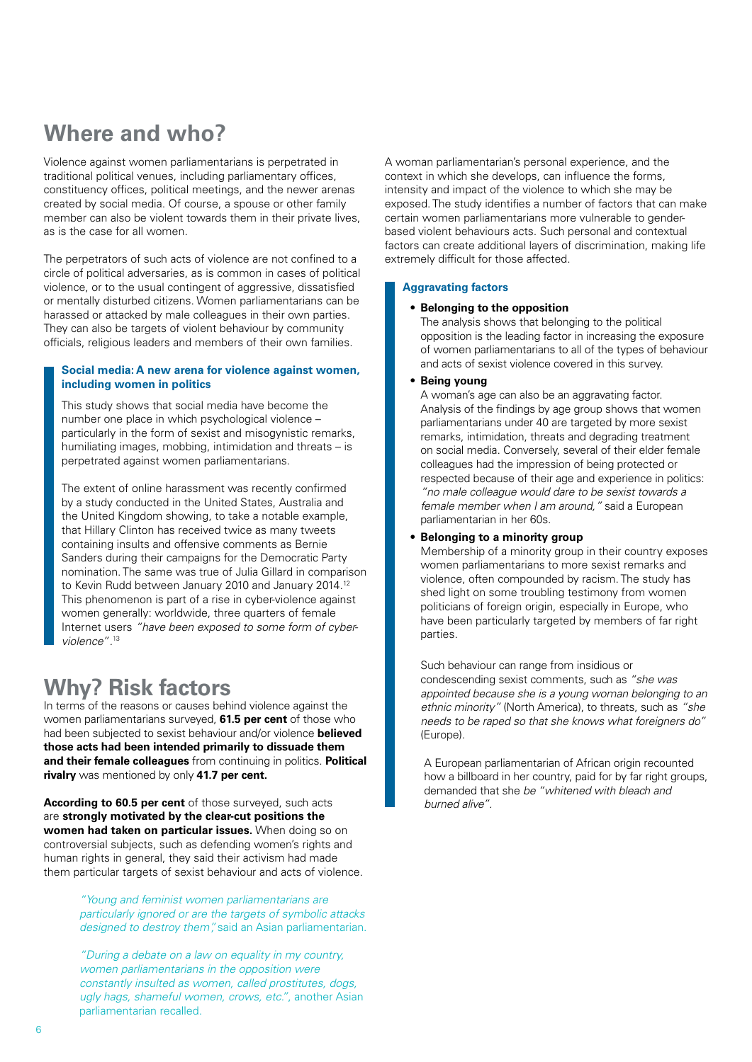## **Where and who?**

Violence against women parliamentarians is perpetrated in traditional political venues, including parliamentary offices, constituency offices, political meetings, and the newer arenas created by social media. Of course, a spouse or other family member can also be violent towards them in their private lives, as is the case for all women.

The perpetrators of such acts of violence are not confined to a circle of political adversaries, as is common in cases of political violence, or to the usual contingent of aggressive, dissatisfied or mentally disturbed citizens. Women parliamentarians can be harassed or attacked by male colleagues in their own parties. They can also be targets of violent behaviour by community officials, religious leaders and members of their own families.

#### **Social media: A new arena for violence against women, including women in politics**

This study shows that social media have become the number one place in which psychological violence – particularly in the form of sexist and misogynistic remarks, humiliating images, mobbing, intimidation and threats – is perpetrated against women parliamentarians.

The extent of online harassment was recently confirmed by a study conducted in the United States, Australia and the United Kingdom showing, to take a notable example, that Hillary Clinton has received twice as many tweets containing insults and offensive comments as Bernie Sanders during their campaigns for the Democratic Party nomination. The same was true of Julia Gillard in comparison to Kevin Rudd between January 2010 and January 2014.<sup>12</sup> This phenomenon is part of a rise in cyber-violence against women generally: worldwide, three quarters of female Internet users "have been exposed to some form of cyberviolence" .<sup>13</sup>

### **Why? Risk factors**

In terms of the reasons or causes behind violence against the women parliamentarians surveyed, **61.5 per cent** of those who had been subjected to sexist behaviour and/or violence **believed those acts had been intended primarily to dissuade them and their female colleagues** from continuing in politics. **Political rivalry** was mentioned by only **41.7 per cent.** 

**According to 60.5 per cent** of those surveyed, such acts are **strongly motivated by the clear-cut positions the women had taken on particular issues.** When doing so on controversial subjects, such as defending women's rights and human rights in general, they said their activism had made them particular targets of sexist behaviour and acts of violence.

> "Young and feminist women parliamentarians are particularly ignored or are the targets of symbolic attacks designed to destroy them", said an Asian parliamentarian.

> "During a debate on a law on equality in my country, women parliamentarians in the opposition were constantly insulted as women, called prostitutes, dogs, ugly hags, shameful women, crows, etc.", another Asian parliamentarian recalled.

A woman parliamentarian's personal experience, and the context in which she develops, can influence the forms, intensity and impact of the violence to which she may be exposed. The study identifies a number of factors that can make certain women parliamentarians more vulnerable to genderbased violent behaviours acts. Such personal and contextual factors can create additional layers of discrimination, making life extremely difficult for those affected.

#### **Aggravating factors**

#### • **Belonging to the opposition**

The analysis shows that belonging to the political opposition is the leading factor in increasing the exposure of women parliamentarians to all of the types of behaviour and acts of sexist violence covered in this survey.

#### • **Being young**

A woman's age can also be an aggravating factor. Analysis of the findings by age group shows that women parliamentarians under 40 are targeted by more sexist remarks, intimidation, threats and degrading treatment on social media. Conversely, several of their elder female colleagues had the impression of being protected or respected because of their age and experience in politics: "no male colleague would dare to be sexist towards a female member when I am around," said a European parliamentarian in her 60s.

#### • **Belonging to a minority group**

Membership of a minority group in their country exposes women parliamentarians to more sexist remarks and violence, often compounded by racism. The study has shed light on some troubling testimony from women politicians of foreign origin, especially in Europe, who have been particularly targeted by members of far right parties.

Such behaviour can range from insidious or condescending sexist comments, such as "she was appointed because she is a young woman belonging to an ethnic minority" (North America), to threats, such as "she needs to be raped so that she knows what foreigners do" (Europe).

A European parliamentarian of African origin recounted how a billboard in her country, paid for by far right groups, demanded that she be "whitened with bleach and burned alive".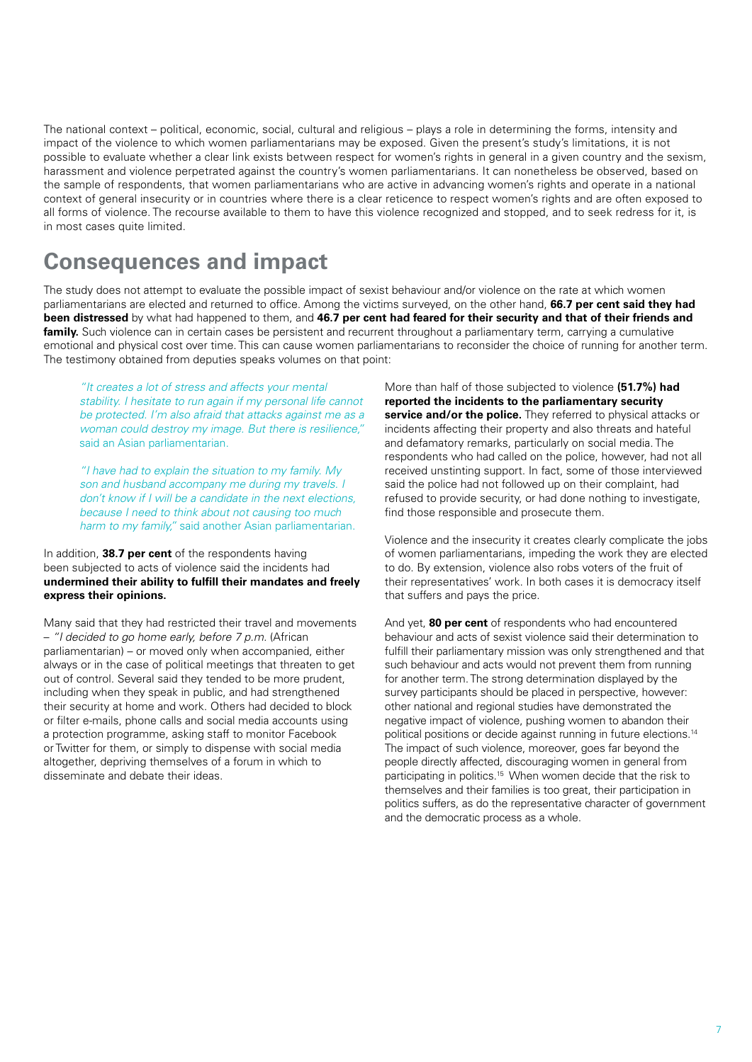The national context – political, economic, social, cultural and religious – plays a role in determining the forms, intensity and impact of the violence to which women parliamentarians may be exposed. Given the present's study's limitations, it is not possible to evaluate whether a clear link exists between respect for women's rights in general in a given country and the sexism, harassment and violence perpetrated against the country's women parliamentarians. It can nonetheless be observed, based on the sample of respondents, that women parliamentarians who are active in advancing women's rights and operate in a national context of general insecurity or in countries where there is a clear reticence to respect women's rights and are often exposed to all forms of violence. The recourse available to them to have this violence recognized and stopped, and to seek redress for it, is in most cases quite limited.

### **Consequences and impact**

The study does not attempt to evaluate the possible impact of sexist behaviour and/or violence on the rate at which women parliamentarians are elected and returned to office. Among the victims surveyed, on the other hand, **66.7 per cent said they had been distressed** by what had happened to them, and **46.7 per cent had feared for their security and that of their friends and**  family. Such violence can in certain cases be persistent and recurrent throughout a parliamentary term, carrying a cumulative emotional and physical cost over time. This can cause women parliamentarians to reconsider the choice of running for another term. The testimony obtained from deputies speaks volumes on that point:

"It creates a lot of stress and affects your mental stability. I hesitate to run again if my personal life cannot be protected. I'm also afraid that attacks against me as a woman could destroy my image. But there is resilience," said an Asian parliamentarian.

"I have had to explain the situation to my family. My son and husband accompany me during my travels. I don't know if I will be a candidate in the next elections, because I need to think about not causing too much harm to my family," said another Asian parliamentarian.

#### In addition, **38.7 per cent** of the respondents having been subjected to acts of violence said the incidents had **undermined their ability to fulfill their mandates and freely express their opinions.**

Many said that they had restricted their travel and movements – "I decided to go home early, before 7 p.m. (African parliamentarian) – or moved only when accompanied, either always or in the case of political meetings that threaten to get out of control. Several said they tended to be more prudent, including when they speak in public, and had strengthened their security at home and work. Others had decided to block or filter e-mails, phone calls and social media accounts using a protection programme, asking staff to monitor Facebook or Twitter for them, or simply to dispense with social media altogether, depriving themselves of a forum in which to disseminate and debate their ideas.

More than half of those subjected to violence **(51.7%) had reported the incidents to the parliamentary security service and/or the police.** They referred to physical attacks or incidents affecting their property and also threats and hateful and defamatory remarks, particularly on social media. The respondents who had called on the police, however, had not all received unstinting support. In fact, some of those interviewed said the police had not followed up on their complaint, had refused to provide security, or had done nothing to investigate, find those responsible and prosecute them.

Violence and the insecurity it creates clearly complicate the jobs of women parliamentarians, impeding the work they are elected to do. By extension, violence also robs voters of the fruit of their representatives' work. In both cases it is democracy itself that suffers and pays the price.

And yet, **80 per cent** of respondents who had encountered behaviour and acts of sexist violence said their determination to fulfill their parliamentary mission was only strengthened and that such behaviour and acts would not prevent them from running for another term. The strong determination displayed by the survey participants should be placed in perspective, however: other national and regional studies have demonstrated the negative impact of violence, pushing women to abandon their political positions or decide against running in future elections.<sup>14</sup> The impact of such violence, moreover, goes far beyond the people directly affected, discouraging women in general from participating in politics.<sup>15</sup> When women decide that the risk to themselves and their families is too great, their participation in politics suffers, as do the representative character of government and the democratic process as a whole.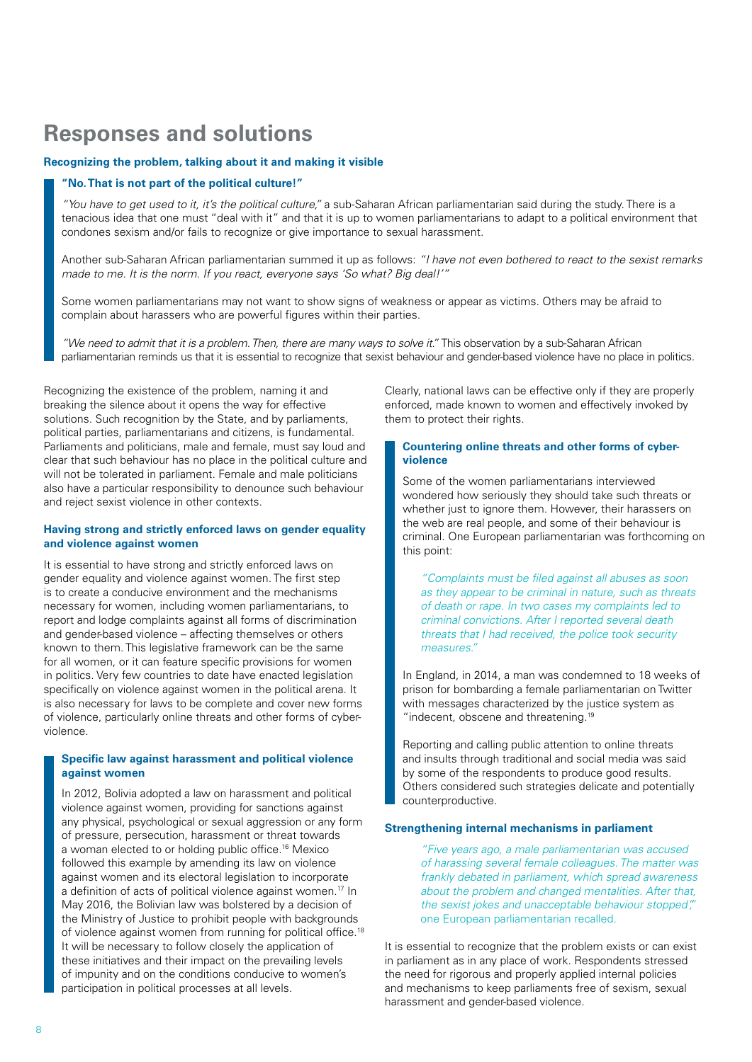### **Responses and solutions**

#### **Recognizing the problem, talking about it and making it visible**

#### **"No. That is not part of the political culture!"**

"You have to get used to it, it's the political culture," a sub-Saharan African parliamentarian said during the study. There is a tenacious idea that one must "deal with it" and that it is up to women parliamentarians to adapt to a political environment that condones sexism and/or fails to recognize or give importance to sexual harassment.

Another sub-Saharan African parliamentarian summed it up as follows: "I have not even bothered to react to the sexist remarks made to me. It is the norm. If you react, everyone says 'So what? Big deal!'"

Some women parliamentarians may not want to show signs of weakness or appear as victims. Others may be afraid to complain about harassers who are powerful figures within their parties.

"We need to admit that it is a problem. Then, there are many ways to solve it." This observation by a sub-Saharan African parliamentarian reminds us that it is essential to recognize that sexist behaviour and gender-based violence have no place in politics.

Recognizing the existence of the problem, naming it and breaking the silence about it opens the way for effective solutions. Such recognition by the State, and by parliaments, political parties, parliamentarians and citizens, is fundamental. Parliaments and politicians, male and female, must say loud and clear that such behaviour has no place in the political culture and will not be tolerated in parliament. Female and male politicians also have a particular responsibility to denounce such behaviour and reject sexist violence in other contexts.

#### **Having strong and strictly enforced laws on gender equality and violence against women**

It is essential to have strong and strictly enforced laws on gender equality and violence against women. The first step is to create a conducive environment and the mechanisms necessary for women, including women parliamentarians, to report and lodge complaints against all forms of discrimination and gender-based violence – affecting themselves or others known to them. This legislative framework can be the same for all women, or it can feature specific provisions for women in politics. Very few countries to date have enacted legislation specifically on violence against women in the political arena. It is also necessary for laws to be complete and cover new forms of violence, particularly online threats and other forms of cyberviolence.

#### **Specific law against harassment and political violence against women**

In 2012, Bolivia adopted a law on harassment and political violence against women, providing for sanctions against any physical, psychological or sexual aggression or any form of pressure, persecution, harassment or threat towards a woman elected to or holding public office.<sup>16</sup> Mexico followed this example by amending its law on violence against women and its electoral legislation to incorporate a definition of acts of political violence against women.<sup>17</sup> In May 2016, the Bolivian law was bolstered by a decision of the Ministry of Justice to prohibit people with backgrounds of violence against women from running for political office.<sup>18</sup> It will be necessary to follow closely the application of these initiatives and their impact on the prevailing levels of impunity and on the conditions conducive to women's participation in political processes at all levels.

Clearly, national laws can be effective only if they are properly enforced, made known to women and effectively invoked by them to protect their rights.

#### **Countering online threats and other forms of cyberviolence**

Some of the women parliamentarians interviewed wondered how seriously they should take such threats or whether just to ignore them. However, their harassers on the web are real people, and some of their behaviour is criminal. One European parliamentarian was forthcoming on this point:

"Complaints must be filed against all abuses as soon as they appear to be criminal in nature, such as threats of death or rape. In two cases my complaints led to criminal convictions. After I reported several death threats that I had received, the police took security measures."

In England, in 2014, a man was condemned to 18 weeks of prison for bombarding a female parliamentarian on Twitter with messages characterized by the justice system as "indecent, obscene and threatening.<sup>19</sup>

Reporting and calling public attention to online threats and insults through traditional and social media was said by some of the respondents to produce good results. Others considered such strategies delicate and potentially counterproductive.

#### **Strengthening internal mechanisms in parliament**

"Five years ago, a male parliamentarian was accused of harassing several female colleagues. The matter was frankly debated in parliament, which spread awareness about the problem and changed mentalities. After that, the sexist jokes and unacceptable behaviour stopped"," one European parliamentarian recalled.

It is essential to recognize that the problem exists or can exist in parliament as in any place of work. Respondents stressed the need for rigorous and properly applied internal policies and mechanisms to keep parliaments free of sexism, sexual harassment and gender-based violence.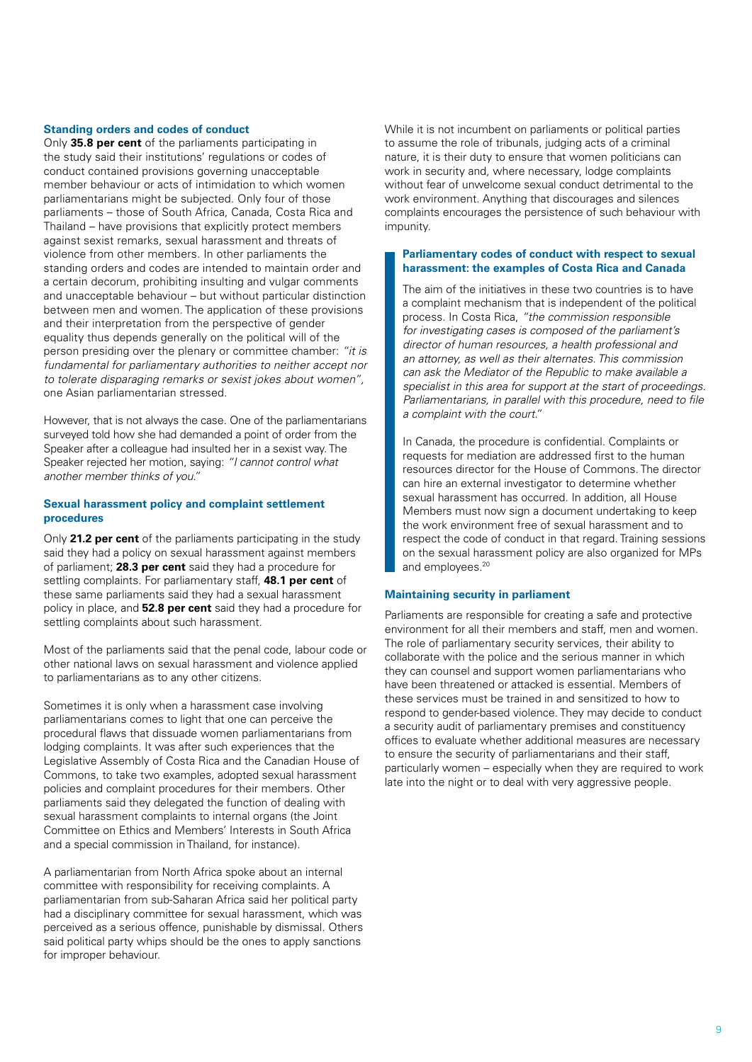#### **Standing orders and codes of conduct**

Only **35.8 per cent** of the parliaments participating in the study said their institutions' regulations or codes of conduct contained provisions governing unacceptable member behaviour or acts of intimidation to which women parliamentarians might be subjected. Only four of those parliaments – those of South Africa, Canada, Costa Rica and Thailand – have provisions that explicitly protect members against sexist remarks, sexual harassment and threats of violence from other members. In other parliaments the standing orders and codes are intended to maintain order and a certain decorum, prohibiting insulting and vulgar comments and unacceptable behaviour – but without particular distinction between men and women. The application of these provisions and their interpretation from the perspective of gender equality thus depends generally on the political will of the person presiding over the plenary or committee chamber: "it is fundamental for parliamentary authorities to neither accept nor to tolerate disparaging remarks or sexist jokes about women", one Asian parliamentarian stressed.

However, that is not always the case. One of the parliamentarians surveyed told how she had demanded a point of order from the Speaker after a colleague had insulted her in a sexist way. The Speaker rejected her motion, saying: "I cannot control what another member thinks of you."

#### **Sexual harassment policy and complaint settlement procedures**

Only **21.2 per cent** of the parliaments participating in the study said they had a policy on sexual harassment against members of parliament; **28.3 per cent** said they had a procedure for settling complaints. For parliamentary staff, **48.1 per cent** of these same parliaments said they had a sexual harassment policy in place, and **52.8 per cent** said they had a procedure for settling complaints about such harassment.

Most of the parliaments said that the penal code, labour code or other national laws on sexual harassment and violence applied to parliamentarians as to any other citizens.

Sometimes it is only when a harassment case involving parliamentarians comes to light that one can perceive the procedural flaws that dissuade women parliamentarians from lodging complaints. It was after such experiences that the Legislative Assembly of Costa Rica and the Canadian House of Commons, to take two examples, adopted sexual harassment policies and complaint procedures for their members. Other parliaments said they delegated the function of dealing with sexual harassment complaints to internal organs (the Joint Committee on Ethics and Members' Interests in South Africa and a special commission in Thailand, for instance).

A parliamentarian from North Africa spoke about an internal committee with responsibility for receiving complaints. A parliamentarian from sub-Saharan Africa said her political party had a disciplinary committee for sexual harassment, which was perceived as a serious offence, punishable by dismissal. Others said political party whips should be the ones to apply sanctions for improper behaviour.

While it is not incumbent on parliaments or political parties to assume the role of tribunals, judging acts of a criminal nature, it is their duty to ensure that women politicians can work in security and, where necessary, lodge complaints without fear of unwelcome sexual conduct detrimental to the work environment. Anything that discourages and silences complaints encourages the persistence of such behaviour with impunity.

#### **Parliamentary codes of conduct with respect to sexual harassment: the examples of Costa Rica and Canada**

The aim of the initiatives in these two countries is to have a complaint mechanism that is independent of the political process. In Costa Rica, "the commission responsible for investigating cases is composed of the parliament's director of human resources, a health professional and an attorney, as well as their alternates. This commission can ask the Mediator of the Republic to make available a specialist in this area for support at the start of proceedings. Parliamentarians, in parallel with this procedure, need to file a complaint with the court."

In Canada, the procedure is confidential. Complaints or requests for mediation are addressed first to the human resources director for the House of Commons. The director can hire an external investigator to determine whether sexual harassment has occurred. In addition, all House Members must now sign a document undertaking to keep the work environment free of sexual harassment and to respect the code of conduct in that regard. Training sessions on the sexual harassment policy are also organized for MPs and employees.<sup>20</sup>

#### **Maintaining security in parliament**

Parliaments are responsible for creating a safe and protective environment for all their members and staff, men and women. The role of parliamentary security services, their ability to collaborate with the police and the serious manner in which they can counsel and support women parliamentarians who have been threatened or attacked is essential. Members of these services must be trained in and sensitized to how to respond to gender-based violence. They may decide to conduct a security audit of parliamentary premises and constituency offices to evaluate whether additional measures are necessary to ensure the security of parliamentarians and their staff, particularly women – especially when they are required to work late into the night or to deal with very aggressive people.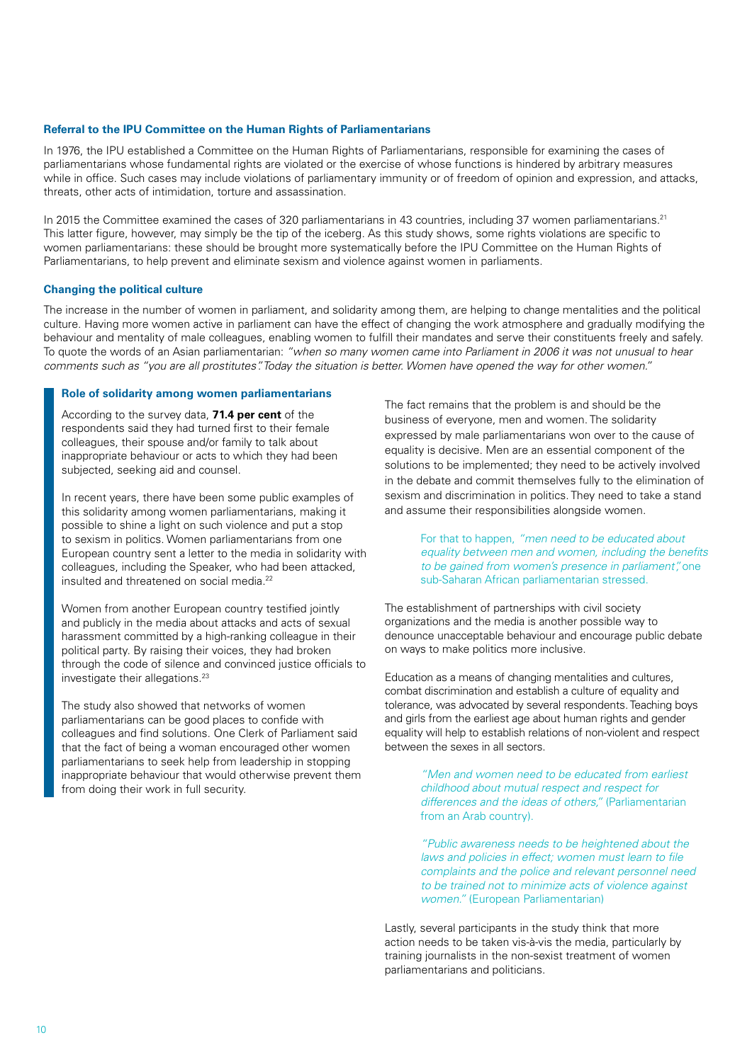#### **Referral to the IPU Committee on the Human Rights of Parliamentarians**

In 1976, the IPU established a Committee on the Human Rights of Parliamentarians, responsible for examining the cases of parliamentarians whose fundamental rights are violated or the exercise of whose functions is hindered by arbitrary measures while in office. Such cases may include violations of parliamentary immunity or of freedom of opinion and expression, and attacks, threats, other acts of intimidation, torture and assassination.

In 2015 the Committee examined the cases of 320 parliamentarians in 43 countries, including 37 women parliamentarians.<sup>21</sup> This latter figure, however, may simply be the tip of the iceberg. As this study shows, some rights violations are specific to women parliamentarians: these should be brought more systematically before the IPU Committee on the Human Rights of Parliamentarians, to help prevent and eliminate sexism and violence against women in parliaments.

#### **Changing the political culture**

The increase in the number of women in parliament, and solidarity among them, are helping to change mentalities and the political culture. Having more women active in parliament can have the effect of changing the work atmosphere and gradually modifying the behaviour and mentality of male colleagues, enabling women to fulfill their mandates and serve their constituents freely and safely. To quote the words of an Asian parliamentarian: "when so many women came into Parliament in 2006 it was not unusual to hear comments such as "you are all prostitutes". Today the situation is better. Women have opened the way for other women."

#### **Role of solidarity among women parliamentarians**

According to the survey data, **71.4 per cent** of the respondents said they had turned first to their female colleagues, their spouse and/or family to talk about inappropriate behaviour or acts to which they had been subjected, seeking aid and counsel.

In recent years, there have been some public examples of this solidarity among women parliamentarians, making it possible to shine a light on such violence and put a stop to sexism in politics. Women parliamentarians from one European country sent a letter to the media in solidarity with colleagues, including the Speaker, who had been attacked, insulted and threatened on social media.<sup>22</sup>

Women from another European country testified jointly and publicly in the media about attacks and acts of sexual harassment committed by a high-ranking colleague in their political party. By raising their voices, they had broken through the code of silence and convinced justice officials to investigate their allegations.<sup>23</sup>

The study also showed that networks of women parliamentarians can be good places to confide with colleagues and find solutions. One Clerk of Parliament said that the fact of being a woman encouraged other women parliamentarians to seek help from leadership in stopping inappropriate behaviour that would otherwise prevent them from doing their work in full security.

The fact remains that the problem is and should be the business of everyone, men and women. The solidarity expressed by male parliamentarians won over to the cause of equality is decisive. Men are an essential component of the solutions to be implemented; they need to be actively involved in the debate and commit themselves fully to the elimination of sexism and discrimination in politics. They need to take a stand and assume their responsibilities alongside women.

> For that to happen, "men need to be educated about equality between men and women, including the benefits to be gained from women's presence in parliament", one sub-Saharan African parliamentarian stressed.

The establishment of partnerships with civil society organizations and the media is another possible way to denounce unacceptable behaviour and encourage public debate on ways to make politics more inclusive.

Education as a means of changing mentalities and cultures, combat discrimination and establish a culture of equality and tolerance, was advocated by several respondents. Teaching boys and girls from the earliest age about human rights and gender equality will help to establish relations of non-violent and respect between the sexes in all sectors.

> "Men and women need to be educated from earliest childhood about mutual respect and respect for differences and the ideas of others," (Parliamentarian from an Arab country).

"Public awareness needs to be heightened about the laws and policies in effect; women must learn to file complaints and the police and relevant personnel need to be trained not to minimize acts of violence against women." (European Parliamentarian)

Lastly, several participants in the study think that more action needs to be taken vis-à-vis the media, particularly by training journalists in the non-sexist treatment of women parliamentarians and politicians.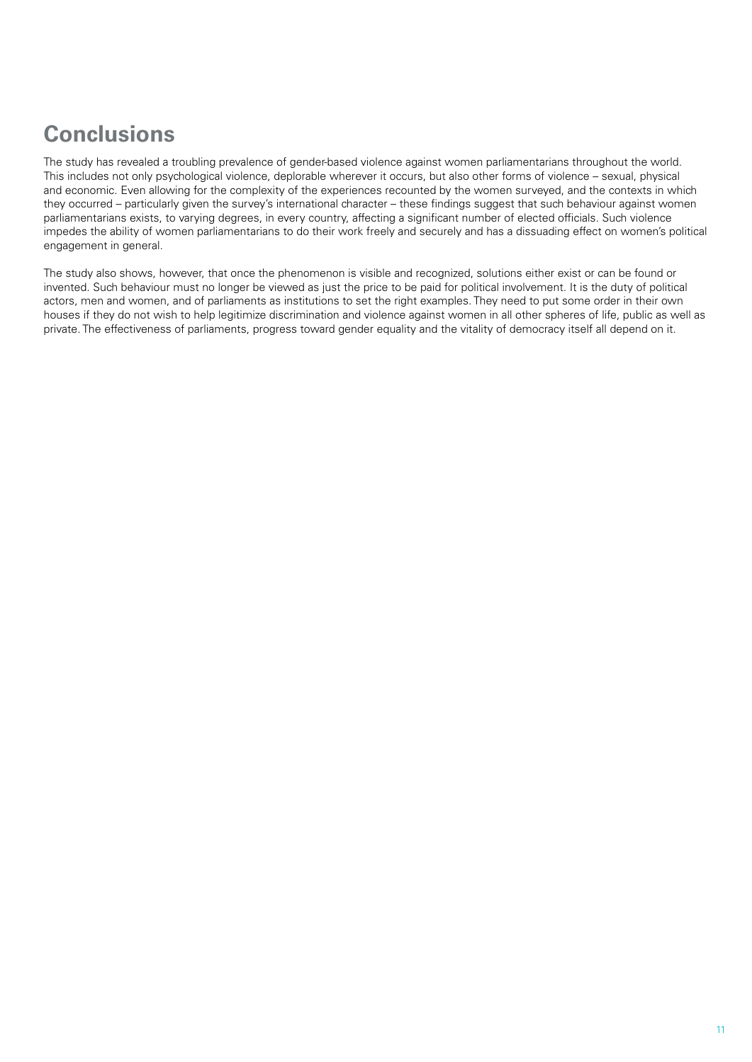# **Conclusions**

The study has revealed a troubling prevalence of gender-based violence against women parliamentarians throughout the world. This includes not only psychological violence, deplorable wherever it occurs, but also other forms of violence – sexual, physical and economic. Even allowing for the complexity of the experiences recounted by the women surveyed, and the contexts in which they occurred – particularly given the survey's international character – these findings suggest that such behaviour against women parliamentarians exists, to varying degrees, in every country, affecting a significant number of elected officials. Such violence impedes the ability of women parliamentarians to do their work freely and securely and has a dissuading effect on women's political engagement in general.

The study also shows, however, that once the phenomenon is visible and recognized, solutions either exist or can be found or invented. Such behaviour must no longer be viewed as just the price to be paid for political involvement. It is the duty of political actors, men and women, and of parliaments as institutions to set the right examples. They need to put some order in their own houses if they do not wish to help legitimize discrimination and violence against women in all other spheres of life, public as well as private. The effectiveness of parliaments, progress toward gender equality and the vitality of democracy itself all depend on it.